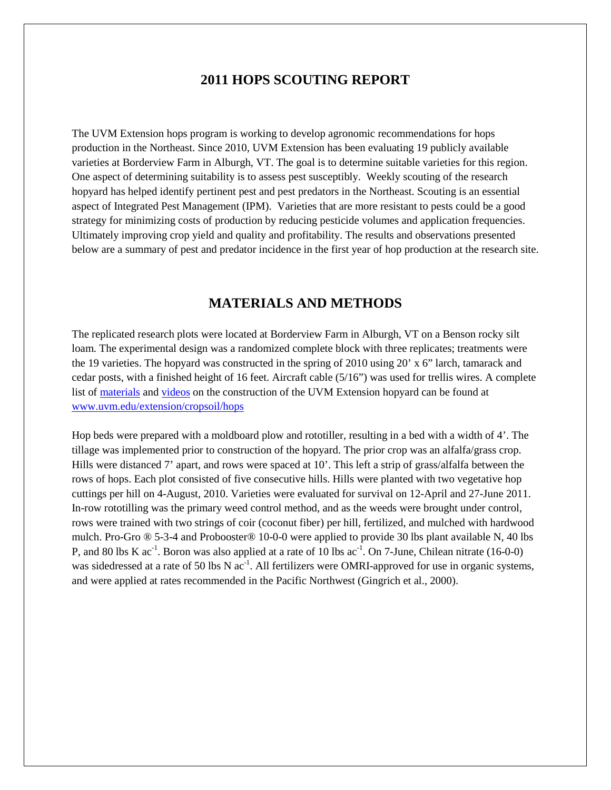### **2011 HOPS SCOUTING REPORT**

The UVM Extension hops program is working to develop agronomic recommendations for hops production in the Northeast. Since 2010, UVM Extension has been evaluating 19 publicly available varieties at Borderview Farm in Alburgh, VT. The goal is to determine suitable varieties for this region. One aspect of determining suitability is to assess pest susceptibly. Weekly scouting of the research hopyard has helped identify pertinent pest and pest predators in the Northeast. Scouting is an essential aspect of Integrated Pest Management (IPM). Varieties that are more resistant to pests could be a good strategy for minimizing costs of production by reducing pesticide volumes and application frequencies. Ultimately improving crop yield and quality and profitability. The results and observations presented below are a summary of pest and predator incidence in the first year of hop production at the research site.

# **MATERIALS AND METHODS**

The replicated research plots were located at Borderview Farm in Alburgh, VT on a Benson rocky silt loam. The experimental design was a randomized complete block with three replicates; treatments were the 19 varieties. The hopyard was constructed in the spring of 2010 using 20' x 6" larch, tamarack and cedar posts, with a finished height of 16 feet. Aircraft cable (5/16") was used for trellis wires. A complete list of [materials](http://www.uvm.edu/extension/cropsoil/hops#construction) and [videos](http://youtu.be/vPF7QlVGgtA) on the construction of the UVM Extension hopyard can be found at [www.uvm.edu/extension/cropsoil/hops](http://www.uvm.edu/extension/cropsoil/hops)

Hop beds were prepared with a moldboard plow and rototiller, resulting in a bed with a width of 4'. The tillage was implemented prior to construction of the hopyard. The prior crop was an alfalfa/grass crop. Hills were distanced 7' apart, and rows were spaced at 10'. This left a strip of grass/alfalfa between the rows of hops. Each plot consisted of five consecutive hills. Hills were planted with two vegetative hop cuttings per hill on 4-August, 2010. Varieties were evaluated for survival on 12-April and 27-June 2011. In-row rototilling was the primary weed control method, and as the weeds were brought under control, rows were trained with two strings of coir (coconut fiber) per hill, fertilized, and mulched with hardwood mulch. Pro-Gro ® 5-3-4 and Probooster® 10-0-0 were applied to provide 30 lbs plant available N, 40 lbs P, and 80 lbs K ac<sup>-1</sup>. Boron was also applied at a rate of 10 lbs ac<sup>-1</sup>. On 7-June, Chilean nitrate (16-0-0) was sidedressed at a rate of 50 lbs N ac<sup>-1</sup>. All fertilizers were OMRI-approved for use in organic systems, and were applied at rates recommended in the Pacific Northwest (Gingrich et al., 2000).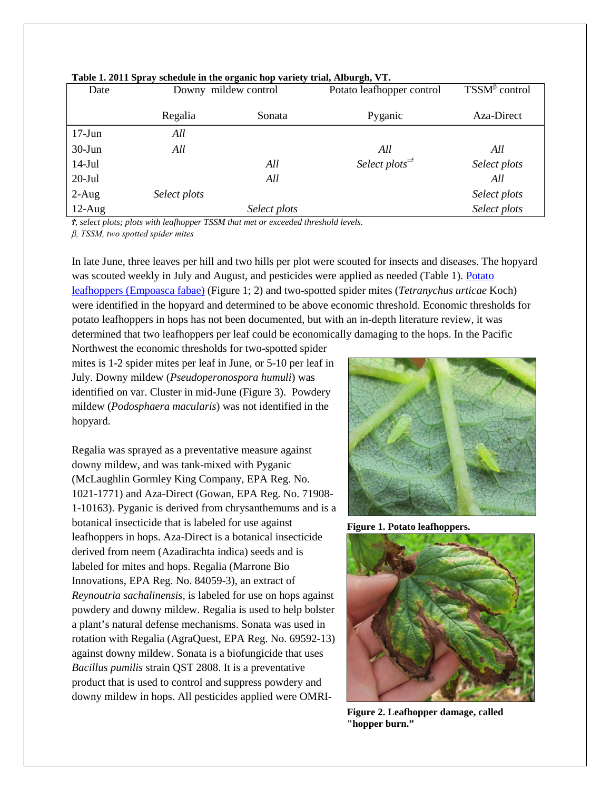| Date      | Downy mildew control |              | Potato leafhopper control                  | $TSSM^{\beta}$ control |  |
|-----------|----------------------|--------------|--------------------------------------------|------------------------|--|
|           | Regalia              | Sonata       | Pyganic                                    | Aza-Direct             |  |
| $17-Jun$  | All                  |              |                                            |                        |  |
| $30-J$ un | All                  |              | All                                        | All                    |  |
| $14-Jul$  |                      | All          | Select plots <sup><math>\pm f</math></sup> | Select plots           |  |
| $20$ -Jul |                      | All          |                                            | All                    |  |
| $2-Aug$   | Select plots         |              |                                            | Select plots           |  |
| $12-Aug$  |                      | Select plots |                                            | Select plots           |  |

**Table 1. 2011 Spray schedule in the organic hop variety trial, Alburgh, VT.**

*Ϯ, select plots; plots with leafhopper TSSM that met or exceeded threshold levels.*

*β, TSSM, two spotted spider mites*

In late June, three leaves per hill and two hills per plot were scouted for insects and diseases. The hopyard was scouted weekly in July and August, and pesticides were applied as needed (Table 1). [Potato](http://www.uvm.edu/extension/cropsoil/wp-content/uploads/Leaf_Hopper_Article.pdf)  [leafhoppers \(Empoasca fabae\)](http://www.uvm.edu/extension/cropsoil/wp-content/uploads/Leaf_Hopper_Article.pdf) (Figure 1; 2) and two-spotted spider mites (*Tetranychus urticae* Koch) were identified in the hopyard and determined to be above economic threshold. Economic thresholds for potato leafhoppers in hops has not been documented, but with an in-depth literature review, it was determined that two leafhoppers per leaf could be economically damaging to the hops. In the Pacific

Northwest the economic thresholds for two-spotted spider mites is 1-2 spider mites per leaf in June, or 5-10 per leaf in July. Downy mildew (*Pseudoperonospora humuli*) was identified on var. Cluster in mid-June (Figure 3). Powdery mildew (*Podosphaera macularis*) was not identified in the hopyard.

Regalia was sprayed as a preventative measure against downy mildew, and was tank-mixed with Pyganic (McLaughlin Gormley King Company, EPA Reg. No. 1021-1771) and Aza-Direct (Gowan, EPA Reg. No. 71908- 1-10163). Pyganic is derived from chrysanthemums and is a botanical insecticide that is labeled for use against leafhoppers in hops. Aza-Direct is a botanical insecticide derived from neem (Azadirachta indica) seeds and is labeled for mites and hops. Regalia (Marrone Bio Innovations, EPA Reg. No. 84059-3), an extract of *Reynoutria sachalinensis,* is labeled for use on hops against powdery and downy mildew. Regalia is used to help bolster a plant's natural defense mechanisms. Sonata was used in rotation with Regalia (AgraQuest, EPA Reg. No. 69592-13) against downy mildew. Sonata is a biofungicide that uses *Bacillus pumilis* strain QST 2808. It is a preventative product that is used to control and suppress powdery and downy mildew in hops. All pesticides applied were OMRI-



**Figure 1. Potato leafhoppers.**



**Figure 2. Leafhopper damage, called "hopper burn."**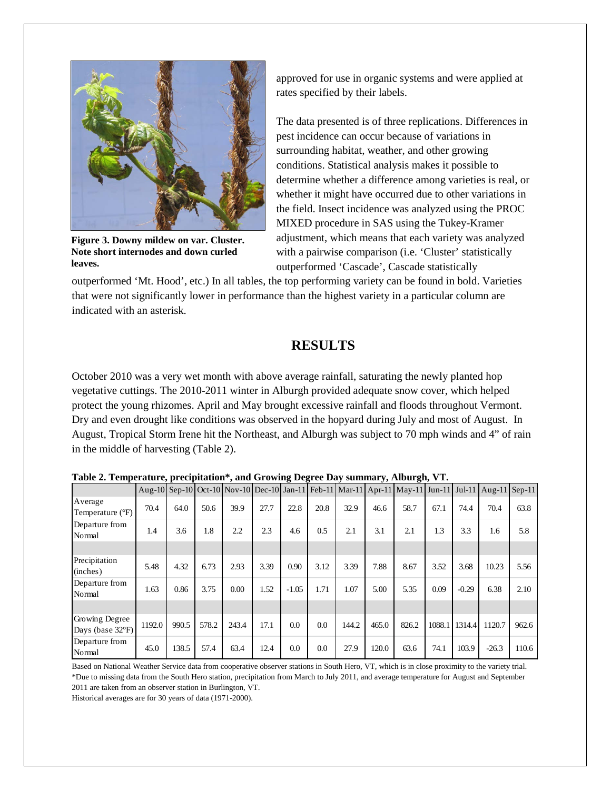

**Figure 3. Downy mildew on var. Cluster. Note short internodes and down curled leaves.**

approved for use in organic systems and were applied at rates specified by their labels.

The data presented is of three replications. Differences in pest incidence can occur because of variations in surrounding habitat, weather, and other growing conditions. Statistical analysis makes it possible to determine whether a difference among varieties is real, or whether it might have occurred due to other variations in the field. Insect incidence was analyzed using the PROC MIXED procedure in SAS using the Tukey-Kramer adjustment, which means that each variety was analyzed with a pairwise comparison (i.e. 'Cluster' statistically outperformed 'Cascade', Cascade statistically

outperformed 'Mt. Hood', etc.) In all tables, the top performing variety can be found in bold. Varieties that were not significantly lower in performance than the highest variety in a particular column are indicated with an asterisk.

# **RESULTS**

October 2010 was a very wet month with above average rainfall, saturating the newly planted hop vegetative cuttings. The 2010-2011 winter in Alburgh provided adequate snow cover, which helped protect the young rhizomes. April and May brought excessive rainfall and floods throughout Vermont. Dry and even drought like conditions was observed in the hopyard during July and most of August. In August, Tropical Storm Irene hit the Northeast, and Alburgh was subject to 70 mph winds and 4" of rain in the middle of harvesting (Table 2).

| Table 2. Temperature, precipitation , and Growing Degree Day Summary, Anburgh, v T. |        |       |       |       |      |         |      |       |       |                                                                                                   |        |         |         |       |
|-------------------------------------------------------------------------------------|--------|-------|-------|-------|------|---------|------|-------|-------|---------------------------------------------------------------------------------------------------|--------|---------|---------|-------|
|                                                                                     |        |       |       |       |      |         |      |       |       | Aug-10 Sep-10 Oct-10 Nov-10 Dec-10 Jan-11 Feb-11 Mar-11 Apr-11 May-11 Jun-11 Jul-11 Aug-11 Sep-11 |        |         |         |       |
| Average<br>Temperature (°F)                                                         | 70.4   | 64.0  | 50.6  | 39.9  | 27.7 | 22.8    | 20.8 | 32.9  | 46.6  | 58.7                                                                                              | 67.1   | 74.4    | 70.4    | 63.8  |
| Departure from<br>Normal                                                            | 1.4    | 3.6   | 1.8   | 2.2   | 2.3  | 4.6     | 0.5  | 2.1   | 3.1   | 2.1                                                                                               | 1.3    | 3.3     | 1.6     | 5.8   |
|                                                                                     |        |       |       |       |      |         |      |       |       |                                                                                                   |        |         |         |       |
| Precipitation<br>(inches)                                                           | 5.48   | 4.32  | 6.73  | 2.93  | 3.39 | 0.90    | 3.12 | 3.39  | 7.88  | 8.67                                                                                              | 3.52   | 3.68    | 10.23   | 5.56  |
| Departure from<br>Normal                                                            | 1.63   | 0.86  | 3.75  | 0.00  | 1.52 | $-1.05$ | 1.71 | 1.07  | 5.00  | 5.35                                                                                              | 0.09   | $-0.29$ | 6.38    | 2.10  |
|                                                                                     |        |       |       |       |      |         |      |       |       |                                                                                                   |        |         |         |       |
| Growing Degree<br>Days (base 32°F)                                                  | 1192.0 | 990.5 | 578.2 | 243.4 | 17.1 | 0.0     | 0.0  | 144.2 | 465.0 | 826.2                                                                                             | 1088.1 | 1314.4  | 1120.7  | 962.6 |
| Departure from<br>Normal                                                            | 45.0   | 138.5 | 57.4  | 63.4  | 12.4 | 0.0     | 0.0  | 27.9  | 120.0 | 63.6                                                                                              | 74.1   | 103.9   | $-26.3$ | 110.6 |

**Table 2. Temperature, precipitation\*, and Growing Degree Day summary, Alburgh, VT.**

Based on National Weather Service data from cooperative observer stations in South Hero, VT, which is in close proximity to the variety trial. \*Due to missing data from the South Hero station, precipitation from March to July 2011, and average temperature for August and September 2011 are taken from an observer station in Burlington, VT.

Historical averages are for 30 years of data (1971-2000).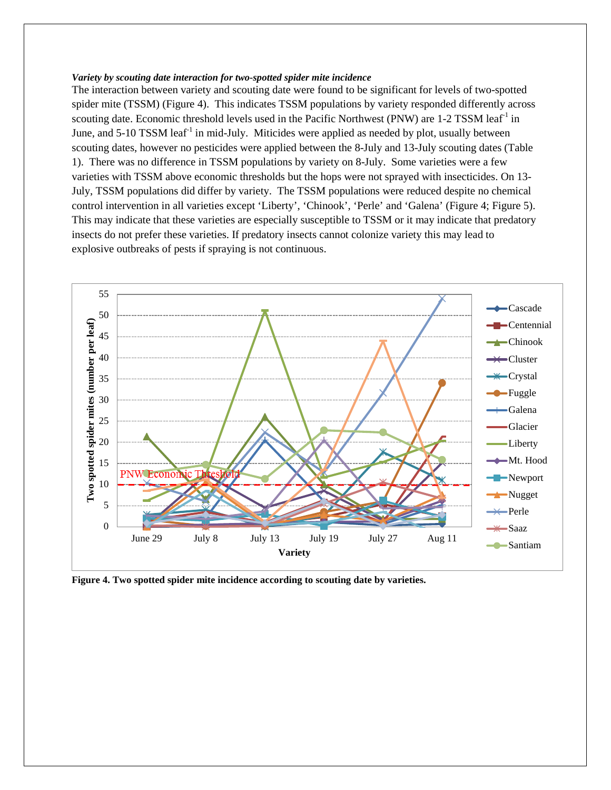#### *Variety by scouting date interaction for two-spotted spider mite incidence*

The interaction between variety and scouting date were found to be significant for levels of two-spotted spider mite (TSSM) (Figure 4). This indicates TSSM populations by variety responded differently across scouting date. Economic threshold levels used in the Pacific Northwest (PNW) are 1-2 TSSM leaf<sup>-1</sup> in June, and  $5\text{-}10$  TSSM leaf<sup>-1</sup> in mid-July. Miticides were applied as needed by plot, usually between scouting dates, however no pesticides were applied between the 8-July and 13-July scouting dates (Table 1). There was no difference in TSSM populations by variety on 8-July. Some varieties were a few varieties with TSSM above economic thresholds but the hops were not sprayed with insecticides. On 13- July, TSSM populations did differ by variety. The TSSM populations were reduced despite no chemical control intervention in all varieties except 'Liberty', 'Chinook', 'Perle' and 'Galena' (Figure 4; Figure 5). This may indicate that these varieties are especially susceptible to TSSM or it may indicate that predatory insects do not prefer these varieties. If predatory insects cannot colonize variety this may lead to explosive outbreaks of pests if spraying is not continuous.



**Figure 4. Two spotted spider mite incidence according to scouting date by varieties.**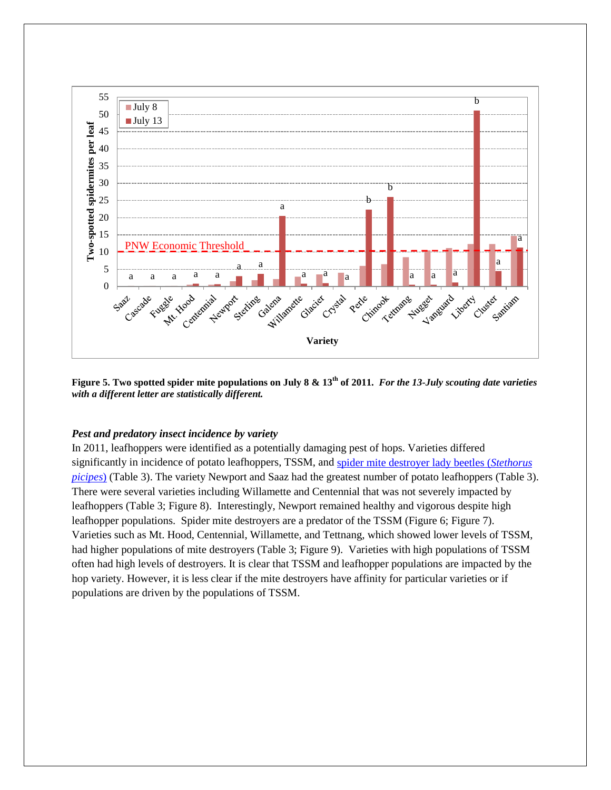

**Figure 5. Two spotted spider mite populations on July 8 & 13th of 2011.** *For the 13-July scouting date varieties with a different letter are statistically different.* 

#### *Pest and predatory insect incidence by variety*

In 2011, leafhoppers were identified as a potentially damaging pest of hops. Varieties differed significantly in incidence of potato leafhoppers, TSSM, and [spider mite destroyer](http://www.uvm.edu/extension/cropsoil/spider-mite-destroyers-and-spined-soldier-bugs) lady beetles (*Stethorus [picipes](http://www.uvm.edu/extension/cropsoil/spider-mite-destroyers-and-spined-soldier-bugs)*) (Table 3). The variety Newport and Saaz had the greatest number of potato leafhoppers (Table 3). There were several varieties including Willamette and Centennial that was not severely impacted by leafhoppers (Table 3; Figure 8). Interestingly, Newport remained healthy and vigorous despite high leafhopper populations. Spider mite destroyers are a predator of the TSSM (Figure 6; Figure 7). Varieties such as Mt. Hood, Centennial, Willamette, and Tettnang, which showed lower levels of TSSM, had higher populations of mite destroyers (Table 3; Figure 9). Varieties with high populations of TSSM often had high levels of destroyers. It is clear that TSSM and leafhopper populations are impacted by the hop variety. However, it is less clear if the mite destroyers have affinity for particular varieties or if populations are driven by the populations of TSSM.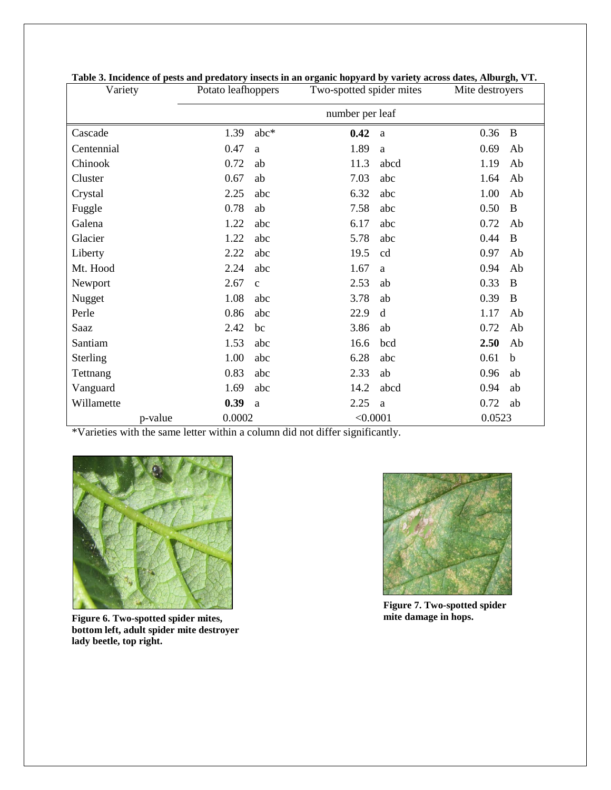| Variety    | Potato leafhoppers   |      | Two-spotted spider mites |      | Mite destroyers |             |
|------------|----------------------|------|--------------------------|------|-----------------|-------------|
|            | number per leaf      |      |                          |      |                 |             |
| Cascade    | 1.39                 | abc* | 0.42                     | a    | 0.36            | $\bf{B}$    |
| Centennial | 0.47<br>a            |      | 1.89                     | a    | 0.69            | Ab          |
| Chinook    | 0.72<br>ab           |      | 11.3                     | abcd | 1.19            | Ab          |
| Cluster    | 0.67<br>ab           |      | 7.03                     | abc  | 1.64            | Ab          |
| Crystal    | 2.25                 | abc  | 6.32                     | abc  | 1.00            | Ab          |
| Fuggle     | 0.78<br>ab           |      | 7.58                     | abc  | 0.50            | B           |
| Galena     | 1.22                 | abc  | 6.17                     | abc  | 0.72            | Ab          |
| Glacier    | 1.22                 | abc  | 5.78                     | abc  | 0.44            | B           |
| Liberty    | 2.22                 | abc  | 19.5                     | cd   | 0.97            | Ab          |
| Mt. Hood   | 2.24                 | abc  | 1.67                     | a    | 0.94            | Ab          |
| Newport    | 2.67<br>$\mathbf{C}$ |      | 2.53                     | ab   | 0.33            | B           |
| Nugget     | 1.08                 | abc  | 3.78                     | ab   | 0.39            | B           |
| Perle      | 0.86                 | abc  | 22.9                     | d    | 1.17            | Ab          |
| Saaz       | 2.42<br>bc           |      | 3.86                     | ab   | 0.72            | Ab          |
| Santiam    | 1.53                 | abc  | 16.6                     | bcd  | 2.50            | Ab          |
| Sterling   | 1.00                 | abc  | 6.28                     | abc  | 0.61            | $\mathbf b$ |
| Tettnang   | 0.83                 | abc  | 2.33                     | ab   | 0.96            | ab          |
| Vanguard   | 1.69                 | abc  | 14.2                     | abcd | 0.94            | ab          |
| Willamette | 0.39<br>a            |      | 2.25                     | a    | 0.72            | ab          |
| p-value    | 0.0002               |      | < 0.0001                 |      | 0.0523          |             |

| Table 3. Incidence of pests and predatory insects in an organic hopyard by variety across dates, Alburgh, VT. |  |  |  |
|---------------------------------------------------------------------------------------------------------------|--|--|--|

\*Varieties with the same letter within a column did not differ significantly.



**Figure 6. Two-spotted spider mites, bottom left, adult spider mite destroyer lady beetle, top right.**



**Figure 7. Two-spotted spider mite damage in hops.**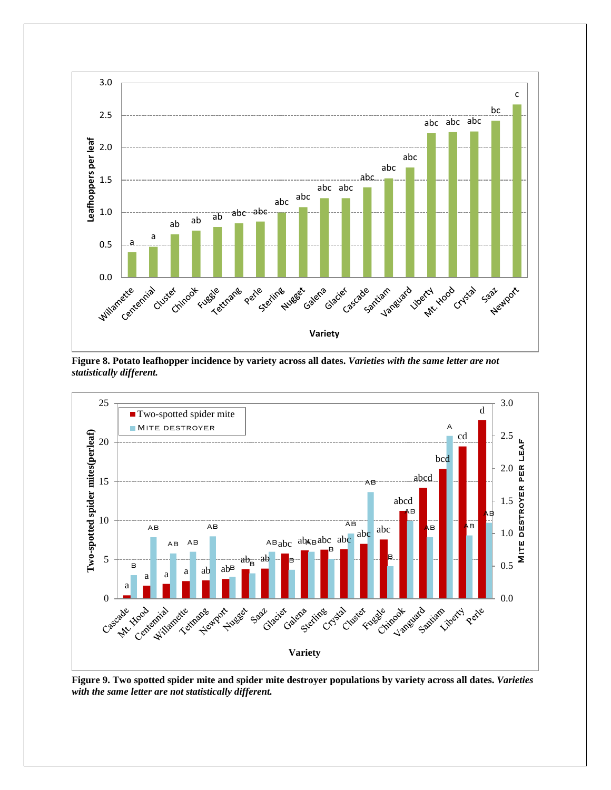

**Figure 8. Potato leafhopper incidence by variety across all dates.** *Varieties with the same letter are not statistically different.*



**Figure 9. Two spotted spider mite and spider mite destroyer populations by variety across all dates.** *Varieties with the same letter are not statistically different.*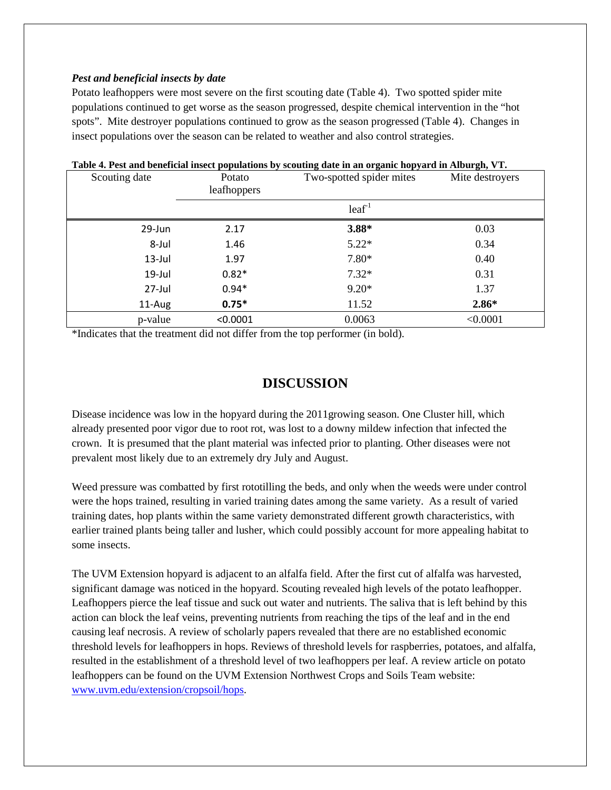#### *Pest and beneficial insects by date*

Potato leafhoppers were most severe on the first scouting date (Table 4). Two spotted spider mite populations continued to get worse as the season progressed, despite chemical intervention in the "hot spots". Mite destroyer populations continued to grow as the season progressed (Table 4). Changes in insect populations over the season can be related to weather and also control strategies.

| Scouting date | Potato<br>leafhoppers | Two-spotted spider mites | Mite destroyers |  |
|---------------|-----------------------|--------------------------|-----------------|--|
|               |                       | $leaf^1$                 |                 |  |
| 29-Jun        | 2.17                  | 3.88*                    | 0.03            |  |
| 8-Jul         | 1.46                  | $5.22*$                  | 0.34            |  |
| $13$ -Jul     | 1.97                  | 7.80*                    | 0.40            |  |
| $19$ -Jul     | $0.82*$               | $7.32*$                  | 0.31            |  |
| 27-Jul        | $0.94*$               | $9.20*$                  | 1.37            |  |
| 11-Aug        | $0.75*$               | 11.52                    | $2.86*$         |  |
| p-value       | < 0.0001              | 0.0063                   | < 0.0001        |  |

### **Table 4. Pest and beneficial insect populations by scouting date in an organic hopyard in Alburgh, VT.**

\*Indicates that the treatment did not differ from the top performer (in bold).

## **DISCUSSION**

Disease incidence was low in the hopyard during the 2011growing season. One Cluster hill, which already presented poor vigor due to root rot, was lost to a downy mildew infection that infected the crown. It is presumed that the plant material was infected prior to planting. Other diseases were not prevalent most likely due to an extremely dry July and August.

Weed pressure was combatted by first rototilling the beds, and only when the weeds were under control were the hops trained, resulting in varied training dates among the same variety. As a result of varied training dates, hop plants within the same variety demonstrated different growth characteristics, with earlier trained plants being taller and lusher, which could possibly account for more appealing habitat to some insects.

The UVM Extension hopyard is adjacent to an alfalfa field. After the first cut of alfalfa was harvested, significant damage was noticed in the hopyard. Scouting revealed high levels of the potato leafhopper. Leafhoppers pierce the leaf tissue and suck out water and nutrients. The saliva that is left behind by this action can block the leaf veins, preventing nutrients from reaching the tips of the leaf and in the end causing leaf necrosis. A review of scholarly papers revealed that there are no established economic threshold levels for leafhoppers in hops. Reviews of threshold levels for raspberries, potatoes, and alfalfa, resulted in the establishment of a threshold level of two leafhoppers per leaf. A review article on potato leafhoppers can be found on the UVM Extension Northwest Crops and Soils Team website: [www.uvm.edu/extension/cropsoil/hops.](http://www.uvm.edu/extension/cropsoil/hops)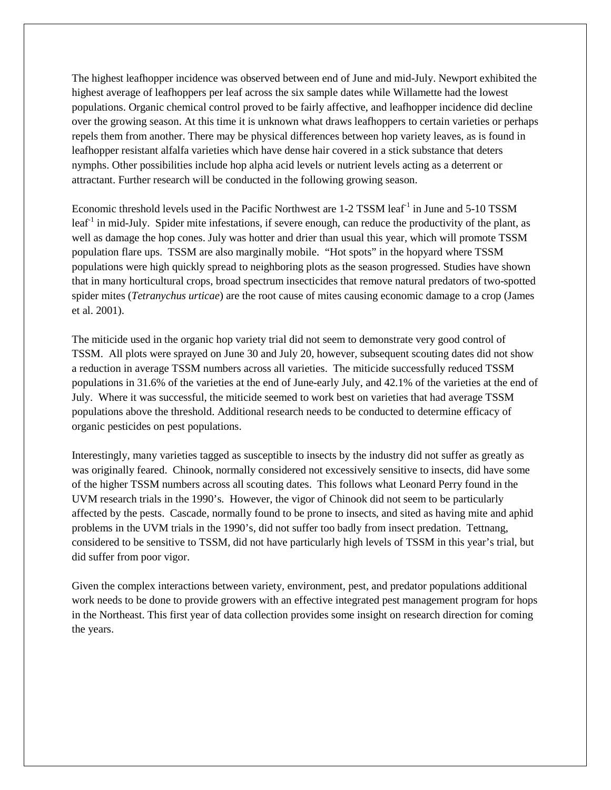The highest leafhopper incidence was observed between end of June and mid-July. Newport exhibited the highest average of leafhoppers per leaf across the six sample dates while Willamette had the lowest populations. Organic chemical control proved to be fairly affective, and leafhopper incidence did decline over the growing season. At this time it is unknown what draws leafhoppers to certain varieties or perhaps repels them from another. There may be physical differences between hop variety leaves, as is found in leafhopper resistant alfalfa varieties which have dense hair covered in a stick substance that deters nymphs. Other possibilities include hop alpha acid levels or nutrient levels acting as a deterrent or attractant. Further research will be conducted in the following growing season.

Economic threshold levels used in the Pacific Northwest are 1-2 TSSM leaf<sup>-1</sup> in June and 5-10 TSSM leaf<sup>-1</sup> in mid-July. Spider mite infestations, if severe enough, can reduce the productivity of the plant, as well as damage the hop cones. July was hotter and drier than usual this year, which will promote TSSM population flare ups. TSSM are also marginally mobile. "Hot spots" in the hopyard where TSSM populations were high quickly spread to neighboring plots as the season progressed. Studies have shown that in many horticultural crops, broad spectrum insecticides that remove natural predators of two-spotted spider mites (*Tetranychus urticae*) are the root cause of mites causing economic damage to a crop (James et al. 2001).

The miticide used in the organic hop variety trial did not seem to demonstrate very good control of TSSM. All plots were sprayed on June 30 and July 20, however, subsequent scouting dates did not show a reduction in average TSSM numbers across all varieties. The miticide successfully reduced TSSM populations in 31.6% of the varieties at the end of June-early July, and 42.1% of the varieties at the end of July. Where it was successful, the miticide seemed to work best on varieties that had average TSSM populations above the threshold. Additional research needs to be conducted to determine efficacy of organic pesticides on pest populations.

Interestingly, many varieties tagged as susceptible to insects by the industry did not suffer as greatly as was originally feared. Chinook, normally considered not excessively sensitive to insects, did have some of the higher TSSM numbers across all scouting dates. This follows what Leonard Perry found in the UVM research trials in the 1990's. However, the vigor of Chinook did not seem to be particularly affected by the pests. Cascade, normally found to be prone to insects, and sited as having mite and aphid problems in the UVM trials in the 1990's, did not suffer too badly from insect predation. Tettnang, considered to be sensitive to TSSM, did not have particularly high levels of TSSM in this year's trial, but did suffer from poor vigor.

Given the complex interactions between variety, environment, pest, and predator populations additional work needs to be done to provide growers with an effective integrated pest management program for hops in the Northeast. This first year of data collection provides some insight on research direction for coming the years.